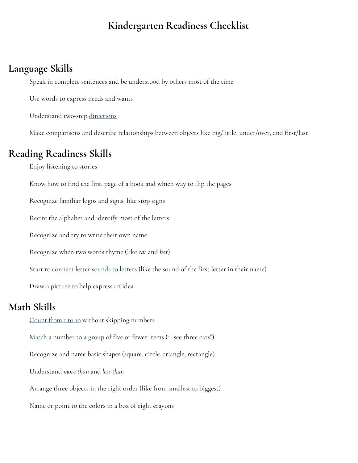### **Kindergarten Readiness Checklist**

#### **Language Skills**

Speak in complete sentences and be understood by others most of the time

Use words to express needs and wants

Understand two-step [directions](https://www.understood.org/en/learning-thinking-differences/understanding-childs-challenges/talking-with-your-child/10-tips-to-help-your-child-follow-directions)

Make comparisons and describe relationships between objects like big/little, under/over, and first/last

#### **Reading Readiness Skills**

Enjoy listening to stories

Know how to find the first page of a book and which way to flip the pages

Recognize familiar logos and signs, like stop signs

Recite the alphabet and identify most of the letters

Recognize and try to write their own name

Recognize when two words rhyme (like *cat* and *bat*)

Start to [connect](https://www.understood.org/en/learning-thinking-differences/child-learning-disabilities/reading-issues/phonological-awareness-what-it-is-and-how-it-works) letter sounds to letters (like the sound of the first letter in their name)

Draw a picture to help express an idea

## **Math Skills**

[Count](https://www.understood.org/en/learning-thinking-differences/child-learning-disabilities/dyscalculia/why-is-my-child-having-difficulty-counting) from 1 to 10 without skipping numbers

Match a [number](https://www.understood.org/en/learning-thinking-differences/child-learning-disabilities/math-issues/number-sense-what-you-need-to-know) to a group of five or fewer items ("I see three cats")

Recognize and name basic shapes (square, circle, triangle, rectangle)

Understand *more than* and *less than*

Arrange three objects in the right order (like from smallest to biggest)

Name or point to the colors in a box of eight crayons